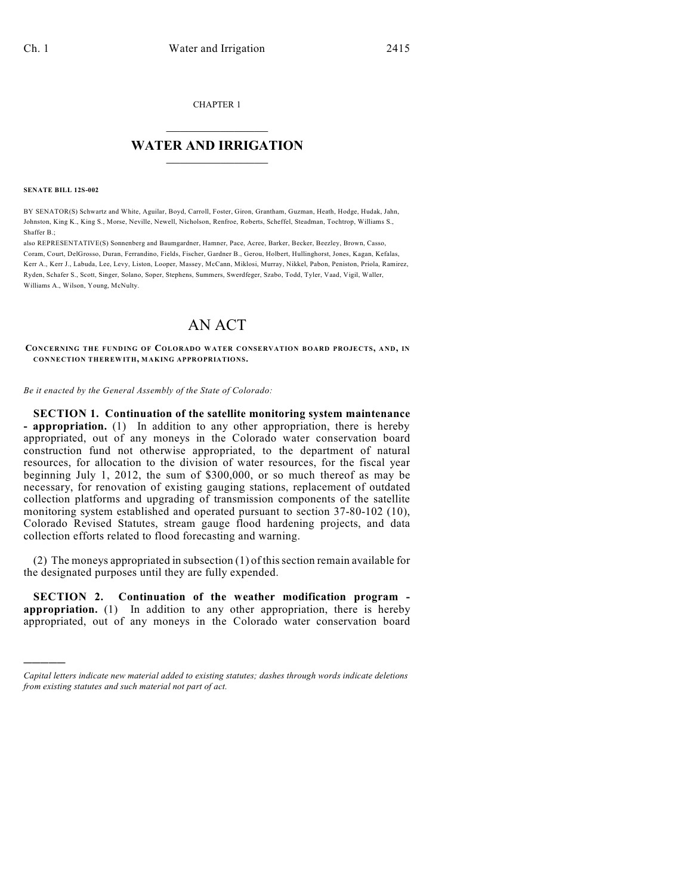CHAPTER 1

## $\mathcal{L}_\text{max}$  . The set of the set of the set of the set of the set of the set of the set of the set of the set of the set of the set of the set of the set of the set of the set of the set of the set of the set of the set **WATER AND IRRIGATION**  $\_$   $\_$

**SENATE BILL 12S-002**

)))))

BY SENATOR(S) Schwartz and White, Aguilar, Boyd, Carroll, Foster, Giron, Grantham, Guzman, Heath, Hodge, Hudak, Jahn, Johnston, King K., King S., Morse, Neville, Newell, Nicholson, Renfroe, Roberts, Scheffel, Steadman, Tochtrop, Williams S., Shaffer B.;

also REPRESENTATIVE(S) Sonnenberg and Baumgardner, Hamner, Pace, Acree, Barker, Becker, Beezley, Brown, Casso, Coram, Court, DelGrosso, Duran, Ferrandino, Fields, Fischer, Gardner B., Gerou, Holbert, Hullinghorst, Jones, Kagan, Kefalas, Kerr A., Kerr J., Labuda, Lee, Levy, Liston, Looper, Massey, McCann, Miklosi, Murray, Nikkel, Pabon, Peniston, Priola, Ramirez, Ryden, Schafer S., Scott, Singer, Solano, Soper, Stephens, Summers, Swerdfeger, Szabo, Todd, Tyler, Vaad, Vigil, Waller, Williams A., Wilson, Young, McNulty.

## AN ACT

**CONCERNING THE FUNDING OF COLORADO WATER CONSERVATION BOARD PROJECTS, AND, IN CONNECTION THEREWITH, MAKING APPROPRIATIONS.**

*Be it enacted by the General Assembly of the State of Colorado:*

**SECTION 1. Continuation of the satellite monitoring system maintenance - appropriation.** (1) In addition to any other appropriation, there is hereby appropriated, out of any moneys in the Colorado water conservation board construction fund not otherwise appropriated, to the department of natural resources, for allocation to the division of water resources, for the fiscal year beginning July 1, 2012, the sum of \$300,000, or so much thereof as may be necessary, for renovation of existing gauging stations, replacement of outdated collection platforms and upgrading of transmission components of the satellite monitoring system established and operated pursuant to section 37-80-102 (10), Colorado Revised Statutes, stream gauge flood hardening projects, and data collection efforts related to flood forecasting and warning.

(2) The moneys appropriated in subsection  $(1)$  of this section remain available for the designated purposes until they are fully expended.

**SECTION 2. Continuation of the weather modification program appropriation.** (1) In addition to any other appropriation, there is hereby appropriated, out of any moneys in the Colorado water conservation board

*Capital letters indicate new material added to existing statutes; dashes through words indicate deletions from existing statutes and such material not part of act.*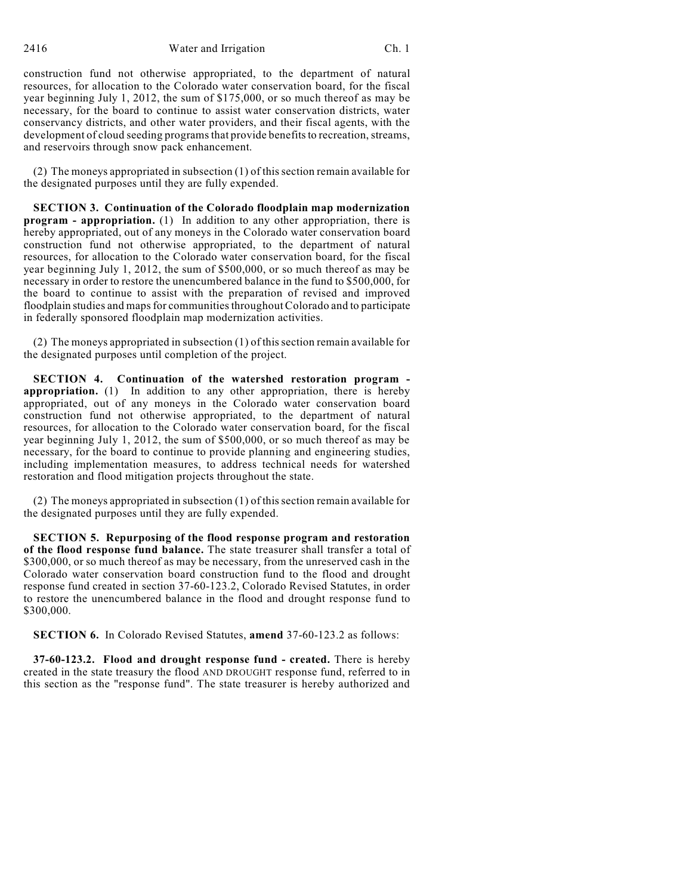2416 Water and Irrigation Ch. 1

construction fund not otherwise appropriated, to the department of natural resources, for allocation to the Colorado water conservation board, for the fiscal year beginning July 1, 2012, the sum of \$175,000, or so much thereof as may be necessary, for the board to continue to assist water conservation districts, water conservancy districts, and other water providers, and their fiscal agents, with the development of cloud seeding programs that provide benefits to recreation, streams, and reservoirs through snow pack enhancement.

(2) The moneys appropriated in subsection (1) of thissection remain available for the designated purposes until they are fully expended.

**SECTION 3. Continuation of the Colorado floodplain map modernization program - appropriation.** (1) In addition to any other appropriation, there is hereby appropriated, out of any moneys in the Colorado water conservation board construction fund not otherwise appropriated, to the department of natural resources, for allocation to the Colorado water conservation board, for the fiscal year beginning July 1, 2012, the sum of \$500,000, or so much thereof as may be necessary in order to restore the unencumbered balance in the fund to \$500,000, for the board to continue to assist with the preparation of revised and improved floodplain studies and maps for communities throughout Colorado and to participate in federally sponsored floodplain map modernization activities.

(2) The moneys appropriated in subsection  $(1)$  of this section remain available for the designated purposes until completion of the project.

**SECTION 4. Continuation of the watershed restoration program appropriation.** (1) In addition to any other appropriation, there is hereby appropriated, out of any moneys in the Colorado water conservation board construction fund not otherwise appropriated, to the department of natural resources, for allocation to the Colorado water conservation board, for the fiscal year beginning July 1, 2012, the sum of \$500,000, or so much thereof as may be necessary, for the board to continue to provide planning and engineering studies, including implementation measures, to address technical needs for watershed restoration and flood mitigation projects throughout the state.

(2) The moneys appropriated in subsection (1) of thissection remain available for the designated purposes until they are fully expended.

**SECTION 5. Repurposing of the flood response program and restoration of the flood response fund balance.** The state treasurer shall transfer a total of \$300,000, or so much thereof as may be necessary, from the unreserved cash in the Colorado water conservation board construction fund to the flood and drought response fund created in section 37-60-123.2, Colorado Revised Statutes, in order to restore the unencumbered balance in the flood and drought response fund to \$300,000.

**SECTION 6.** In Colorado Revised Statutes, **amend** 37-60-123.2 as follows:

**37-60-123.2. Flood and drought response fund - created.** There is hereby created in the state treasury the flood AND DROUGHT response fund, referred to in this section as the "response fund". The state treasurer is hereby authorized and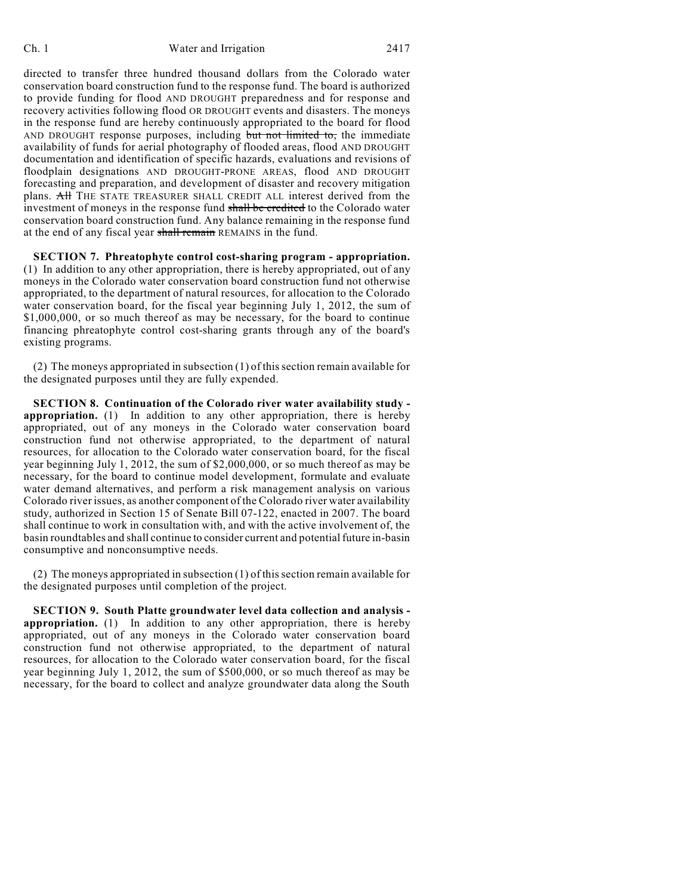directed to transfer three hundred thousand dollars from the Colorado water conservation board construction fund to the response fund. The board is authorized to provide funding for flood AND DROUGHT preparedness and for response and recovery activities following flood OR DROUGHT events and disasters. The moneys in the response fund are hereby continuously appropriated to the board for flood AND DROUGHT response purposes, including but not limited to, the immediate availability of funds for aerial photography of flooded areas, flood AND DROUGHT documentation and identification of specific hazards, evaluations and revisions of floodplain designations AND DROUGHT-PRONE AREAS, flood AND DROUGHT forecasting and preparation, and development of disaster and recovery mitigation plans. All THE STATE TREASURER SHALL CREDIT ALL interest derived from the investment of moneys in the response fund shall be credited to the Colorado water conservation board construction fund. Any balance remaining in the response fund at the end of any fiscal year shall remain REMAINS in the fund.

**SECTION 7. Phreatophyte control cost-sharing program - appropriation.** (1) In addition to any other appropriation, there is hereby appropriated, out of any moneys in the Colorado water conservation board construction fund not otherwise appropriated, to the department of natural resources, for allocation to the Colorado water conservation board, for the fiscal year beginning July 1, 2012, the sum of \$1,000,000, or so much thereof as may be necessary, for the board to continue financing phreatophyte control cost-sharing grants through any of the board's existing programs.

(2) The moneys appropriated in subsection (1) of thissection remain available for the designated purposes until they are fully expended.

**SECTION 8. Continuation of the Colorado river water availability study appropriation.** (1) In addition to any other appropriation, there is hereby appropriated, out of any moneys in the Colorado water conservation board construction fund not otherwise appropriated, to the department of natural resources, for allocation to the Colorado water conservation board, for the fiscal year beginning July 1, 2012, the sum of \$2,000,000, or so much thereof as may be necessary, for the board to continue model development, formulate and evaluate water demand alternatives, and perform a risk management analysis on various Colorado river issues, as another component of the Colorado river water availability study, authorized in Section 15 of Senate Bill 07-122, enacted in 2007. The board shall continue to work in consultation with, and with the active involvement of, the basin roundtables and shall continue to consider current and potential future in-basin consumptive and nonconsumptive needs.

(2) The moneys appropriated in subsection (1) of thissection remain available for the designated purposes until completion of the project.

**SECTION 9. South Platte groundwater level data collection and analysis appropriation.** (1) In addition to any other appropriation, there is hereby appropriated, out of any moneys in the Colorado water conservation board construction fund not otherwise appropriated, to the department of natural resources, for allocation to the Colorado water conservation board, for the fiscal year beginning July 1, 2012, the sum of \$500,000, or so much thereof as may be necessary, for the board to collect and analyze groundwater data along the South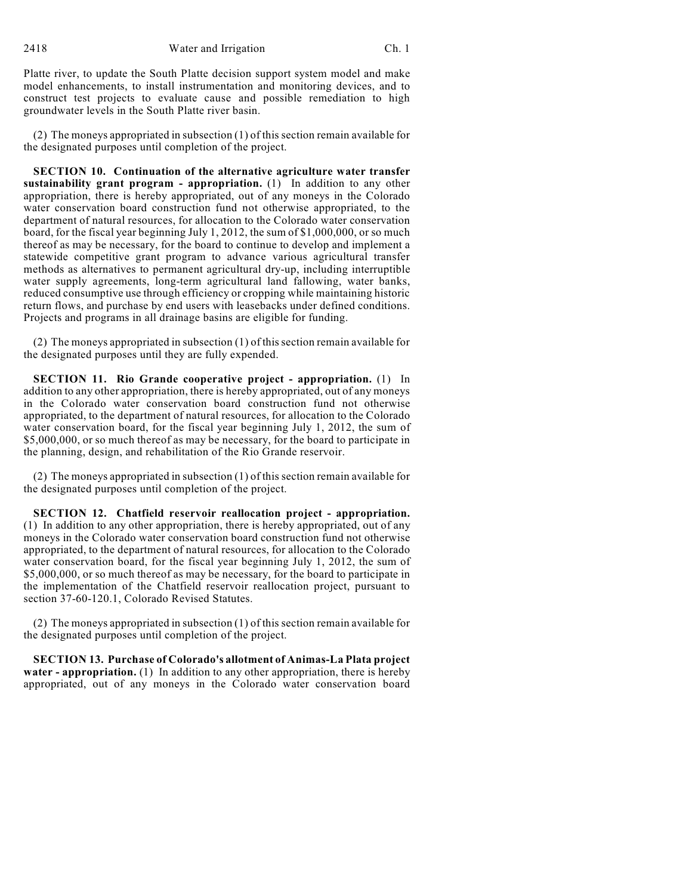Platte river, to update the South Platte decision support system model and make model enhancements, to install instrumentation and monitoring devices, and to construct test projects to evaluate cause and possible remediation to high groundwater levels in the South Platte river basin.

(2) The moneys appropriated in subsection (1) of this section remain available for the designated purposes until completion of the project.

**SECTION 10. Continuation of the alternative agriculture water transfer sustainability grant program - appropriation.** (1) In addition to any other appropriation, there is hereby appropriated, out of any moneys in the Colorado water conservation board construction fund not otherwise appropriated, to the department of natural resources, for allocation to the Colorado water conservation board, for the fiscal year beginning July 1, 2012, the sum of \$1,000,000, or so much thereof as may be necessary, for the board to continue to develop and implement a statewide competitive grant program to advance various agricultural transfer methods as alternatives to permanent agricultural dry-up, including interruptible water supply agreements, long-term agricultural land fallowing, water banks, reduced consumptive use through efficiency or cropping while maintaining historic return flows, and purchase by end users with leasebacks under defined conditions. Projects and programs in all drainage basins are eligible for funding.

(2) The moneys appropriated in subsection  $(1)$  of this section remain available for the designated purposes until they are fully expended.

**SECTION 11. Rio Grande cooperative project - appropriation.** (1) In addition to any other appropriation, there is hereby appropriated, out of any moneys in the Colorado water conservation board construction fund not otherwise appropriated, to the department of natural resources, for allocation to the Colorado water conservation board, for the fiscal year beginning July 1, 2012, the sum of \$5,000,000, or so much thereof as may be necessary, for the board to participate in the planning, design, and rehabilitation of the Rio Grande reservoir.

(2) The moneys appropriated in subsection (1) of this section remain available for the designated purposes until completion of the project.

**SECTION 12. Chatfield reservoir reallocation project - appropriation.** (1) In addition to any other appropriation, there is hereby appropriated, out of any moneys in the Colorado water conservation board construction fund not otherwise appropriated, to the department of natural resources, for allocation to the Colorado water conservation board, for the fiscal year beginning July 1, 2012, the sum of \$5,000,000, or so much thereof as may be necessary, for the board to participate in the implementation of the Chatfield reservoir reallocation project, pursuant to section 37-60-120.1, Colorado Revised Statutes.

(2) The moneys appropriated in subsection (1) of this section remain available for the designated purposes until completion of the project.

**SECTION 13. Purchase of Colorado's allotment of Animas-La Plata project water - appropriation.** (1) In addition to any other appropriation, there is hereby appropriated, out of any moneys in the Colorado water conservation board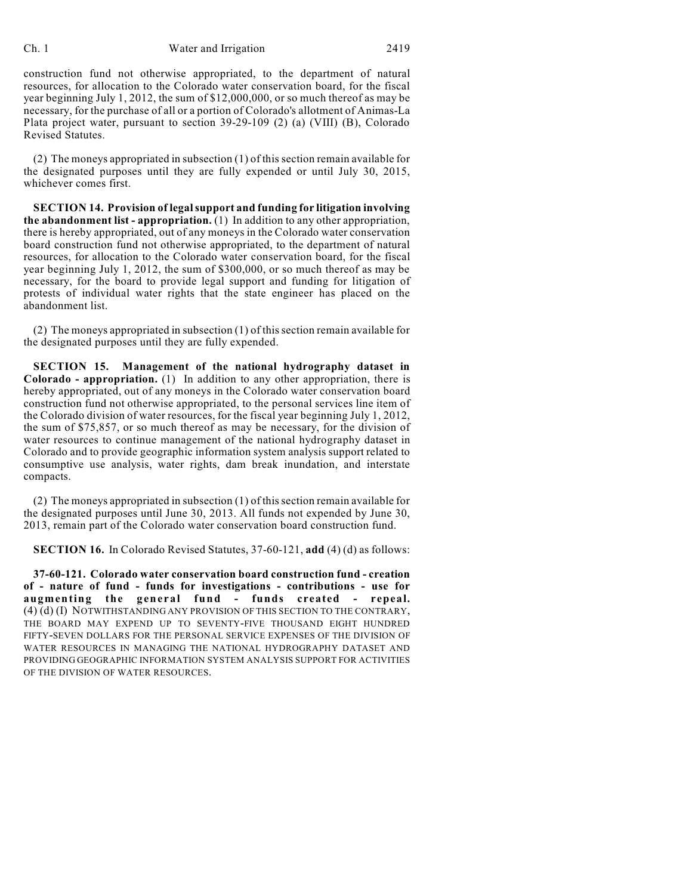## Ch. 1 Water and Irrigation 2419

construction fund not otherwise appropriated, to the department of natural resources, for allocation to the Colorado water conservation board, for the fiscal year beginning July 1, 2012, the sum of \$12,000,000, or so much thereof as may be necessary, for the purchase of all or a portion of Colorado's allotment of Animas-La Plata project water, pursuant to section 39-29-109 (2) (a) (VIII) (B), Colorado Revised Statutes.

(2) The moneys appropriated in subsection (1) of this section remain available for the designated purposes until they are fully expended or until July 30, 2015, whichever comes first.

**SECTION 14. Provision of legalsupport and funding for litigation involving the abandonment list - appropriation.** (1) In addition to any other appropriation, there is hereby appropriated, out of any moneys in the Colorado water conservation board construction fund not otherwise appropriated, to the department of natural resources, for allocation to the Colorado water conservation board, for the fiscal year beginning July 1, 2012, the sum of \$300,000, or so much thereof as may be necessary, for the board to provide legal support and funding for litigation of protests of individual water rights that the state engineer has placed on the abandonment list.

(2) The moneys appropriated in subsection  $(1)$  of this section remain available for the designated purposes until they are fully expended.

**SECTION 15. Management of the national hydrography dataset in Colorado - appropriation.** (1) In addition to any other appropriation, there is hereby appropriated, out of any moneys in the Colorado water conservation board construction fund not otherwise appropriated, to the personal services line item of the Colorado division of water resources, for the fiscal year beginning July 1, 2012, the sum of \$75,857, or so much thereof as may be necessary, for the division of water resources to continue management of the national hydrography dataset in Colorado and to provide geographic information system analysis support related to consumptive use analysis, water rights, dam break inundation, and interstate compacts.

(2) The moneys appropriated in subsection (1) of thissection remain available for the designated purposes until June 30, 2013. All funds not expended by June 30, 2013, remain part of the Colorado water conservation board construction fund.

**SECTION 16.** In Colorado Revised Statutes, 37-60-121, **add** (4) (d) as follows:

**37-60-121. Colorado water conservation board construction fund - creation of - nature of fund - funds for investigations - contributions - use for augmenting the general fund - funds created - repeal.** (4) (d) (I) NOTWITHSTANDING ANY PROVISION OF THIS SECTION TO THE CONTRARY, THE BOARD MAY EXPEND UP TO SEVENTY-FIVE THOUSAND EIGHT HUNDRED FIFTY-SEVEN DOLLARS FOR THE PERSONAL SERVICE EXPENSES OF THE DIVISION OF WATER RESOURCES IN MANAGING THE NATIONAL HYDROGRAPHY DATASET AND PROVIDING GEOGRAPHIC INFORMATION SYSTEM ANALYSIS SUPPORT FOR ACTIVITIES OF THE DIVISION OF WATER RESOURCES.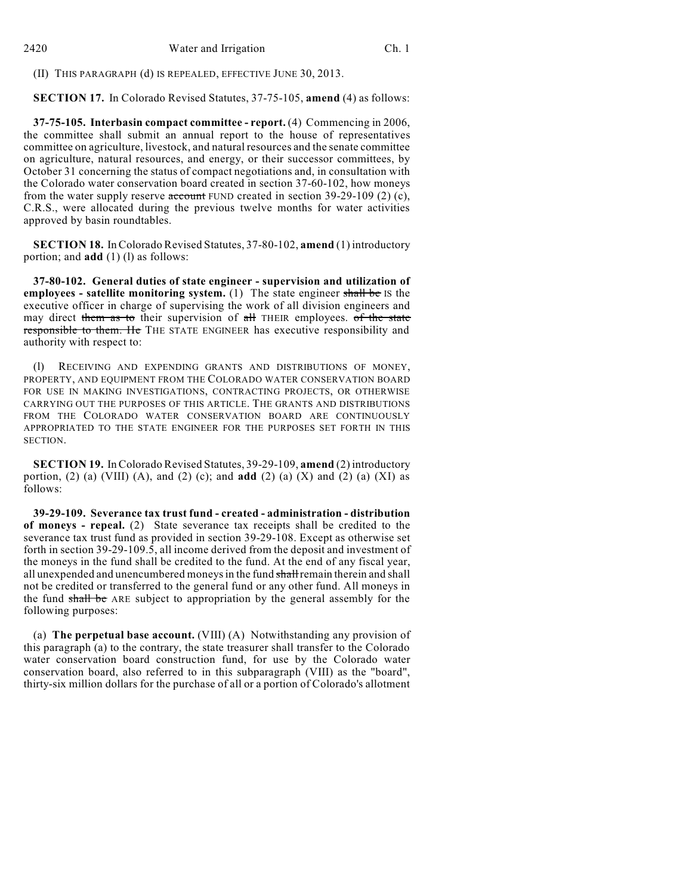2420 Water and Irrigation Ch. 1

(II) THIS PARAGRAPH (d) IS REPEALED, EFFECTIVE JUNE 30, 2013.

**SECTION 17.** In Colorado Revised Statutes, 37-75-105, **amend** (4) as follows:

**37-75-105. Interbasin compact committee - report.** (4) Commencing in 2006, the committee shall submit an annual report to the house of representatives committee on agriculture, livestock, and natural resources and the senate committee on agriculture, natural resources, and energy, or their successor committees, by October 31 concerning the status of compact negotiations and, in consultation with the Colorado water conservation board created in section 37-60-102, how moneys from the water supply reserve account FUND created in section 39-29-109 (2) (c), C.R.S., were allocated during the previous twelve months for water activities approved by basin roundtables.

**SECTION 18.** In Colorado Revised Statutes, 37-80-102, **amend** (1) introductory portion; and **add** (1) (l) as follows:

**37-80-102. General duties of state engineer - supervision and utilization of employees - satellite monitoring system.** (1) The state engineer shall be IS the executive officer in charge of supervising the work of all division engineers and may direct them as to their supervision of all THEIR employees. of the state responsible to them. He THE STATE ENGINEER has executive responsibility and authority with respect to:

(l) RECEIVING AND EXPENDING GRANTS AND DISTRIBUTIONS OF MONEY, PROPERTY, AND EQUIPMENT FROM THE COLORADO WATER CONSERVATION BOARD FOR USE IN MAKING INVESTIGATIONS, CONTRACTING PROJECTS, OR OTHERWISE CARRYING OUT THE PURPOSES OF THIS ARTICLE. THE GRANTS AND DISTRIBUTIONS FROM THE COLORADO WATER CONSERVATION BOARD ARE CONTINUOUSLY APPROPRIATED TO THE STATE ENGINEER FOR THE PURPOSES SET FORTH IN THIS SECTION.

**SECTION 19.** In Colorado Revised Statutes, 39-29-109, **amend** (2) introductory portion, (2) (a) (VIII) (A), and (2) (c); and **add** (2) (a) (X) and (2) (a) (XI) as follows:

**39-29-109. Severance tax trust fund - created - administration - distribution of moneys - repeal.** (2) State severance tax receipts shall be credited to the severance tax trust fund as provided in section 39-29-108. Except as otherwise set forth in section 39-29-109.5, all income derived from the deposit and investment of the moneys in the fund shall be credited to the fund. At the end of any fiscal year, all unexpended and unencumbered moneys in the fund shall remain therein and shall not be credited or transferred to the general fund or any other fund. All moneys in the fund shall be ARE subject to appropriation by the general assembly for the following purposes:

(a) **The perpetual base account.** (VIII) (A) Notwithstanding any provision of this paragraph (a) to the contrary, the state treasurer shall transfer to the Colorado water conservation board construction fund, for use by the Colorado water conservation board, also referred to in this subparagraph (VIII) as the "board", thirty-six million dollars for the purchase of all or a portion of Colorado's allotment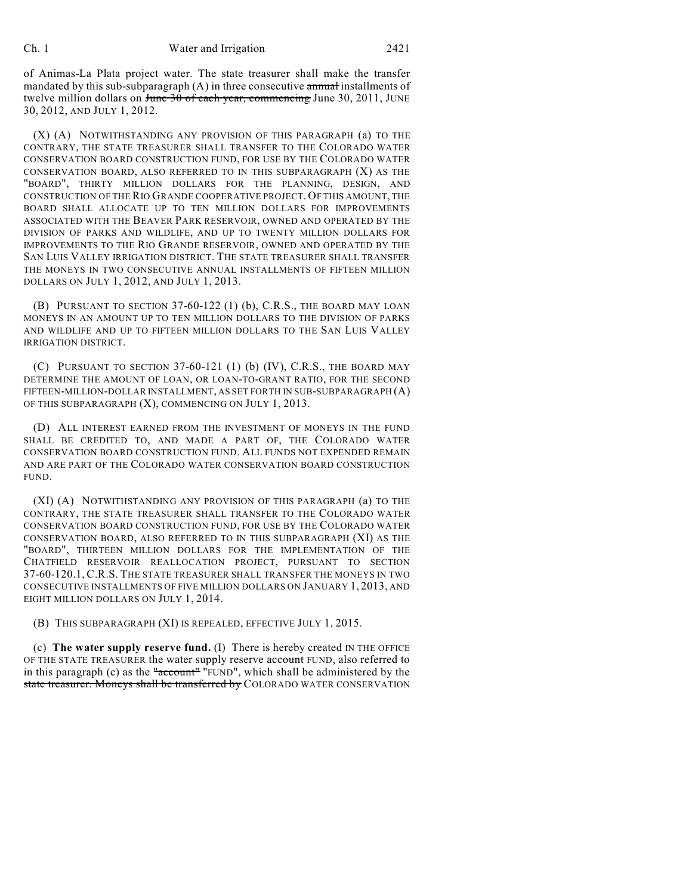of Animas-La Plata project water. The state treasurer shall make the transfer mandated by this sub-subparagraph  $(A)$  in three consecutive annual installments of twelve million dollars on June 30 of each year, commencing June 30, 2011, JUNE 30, 2012, AND JULY 1, 2012.

(X) (A) NOTWITHSTANDING ANY PROVISION OF THIS PARAGRAPH (a) TO THE CONTRARY, THE STATE TREASURER SHALL TRANSFER TO THE COLORADO WATER CONSERVATION BOARD CONSTRUCTION FUND, FOR USE BY THE COLORADO WATER CONSERVATION BOARD, ALSO REFERRED TO IN THIS SUBPARAGRAPH (X) AS THE "BOARD", THIRTY MILLION DOLLARS FOR THE PLANNING, DESIGN, AND CONSTRUCTION OF THE RIO GRANDE COOPERATIVE PROJECT. OF THIS AMOUNT, THE BOARD SHALL ALLOCATE UP TO TEN MILLION DOLLARS FOR IMPROVEMENTS ASSOCIATED WITH THE BEAVER PARK RESERVOIR, OWNED AND OPERATED BY THE DIVISION OF PARKS AND WILDLIFE, AND UP TO TWENTY MILLION DOLLARS FOR IMPROVEMENTS TO THE RIO GRANDE RESERVOIR, OWNED AND OPERATED BY THE SAN LUIS VALLEY IRRIGATION DISTRICT. THE STATE TREASURER SHALL TRANSFER THE MONEYS IN TWO CONSECUTIVE ANNUAL INSTALLMENTS OF FIFTEEN MILLION DOLLARS ON JULY 1, 2012, AND JULY 1, 2013.

(B) PURSUANT TO SECTION 37-60-122 (1) (b), C.R.S., THE BOARD MAY LOAN MONEYS IN AN AMOUNT UP TO TEN MILLION DOLLARS TO THE DIVISION OF PARKS AND WILDLIFE AND UP TO FIFTEEN MILLION DOLLARS TO THE SAN LUIS VALLEY IRRIGATION DISTRICT.

(C) PURSUANT TO SECTION 37-60-121 (1) (b) (IV), C.R.S., THE BOARD MAY DETERMINE THE AMOUNT OF LOAN, OR LOAN-TO-GRANT RATIO, FOR THE SECOND FIFTEEN-MILLION-DOLLAR INSTALLMENT, AS SET FORTH IN SUB-SUBPARAGRAPH (A) OF THIS SUBPARAGRAPH (X), COMMENCING ON JULY 1, 2013.

(D) ALL INTEREST EARNED FROM THE INVESTMENT OF MONEYS IN THE FUND SHALL BE CREDITED TO, AND MADE A PART OF, THE COLORADO WATER CONSERVATION BOARD CONSTRUCTION FUND. ALL FUNDS NOT EXPENDED REMAIN AND ARE PART OF THE COLORADO WATER CONSERVATION BOARD CONSTRUCTION FUND.

(XI) (A) NOTWITHSTANDING ANY PROVISION OF THIS PARAGRAPH (a) TO THE CONTRARY, THE STATE TREASURER SHALL TRANSFER TO THE COLORADO WATER CONSERVATION BOARD CONSTRUCTION FUND, FOR USE BY THE COLORADO WATER CONSERVATION BOARD, ALSO REFERRED TO IN THIS SUBPARAGRAPH (XI) AS THE "BOARD", THIRTEEN MILLION DOLLARS FOR THE IMPLEMENTATION OF THE CHATFIELD RESERVOIR REALLOCATION PROJECT, PURSUANT TO SECTION 37-60-120.1, C.R.S. THE STATE TREASURER SHALL TRANSFER THE MONEYS IN TWO CONSECUTIVE INSTALLMENTS OF FIVE MILLION DOLLARS ON JANUARY 1, 2013, AND EIGHT MILLION DOLLARS ON JULY 1, 2014.

(B) THIS SUBPARAGRAPH (XI) IS REPEALED, EFFECTIVE JULY 1, 2015.

(c) **The water supply reserve fund.** (I) There is hereby created IN THE OFFICE OF THE STATE TREASURER the water supply reserve account FUND, also referred to in this paragraph (c) as the "account" "FUND", which shall be administered by the state treasurer. Moneys shall be transferred by COLORADO WATER CONSERVATION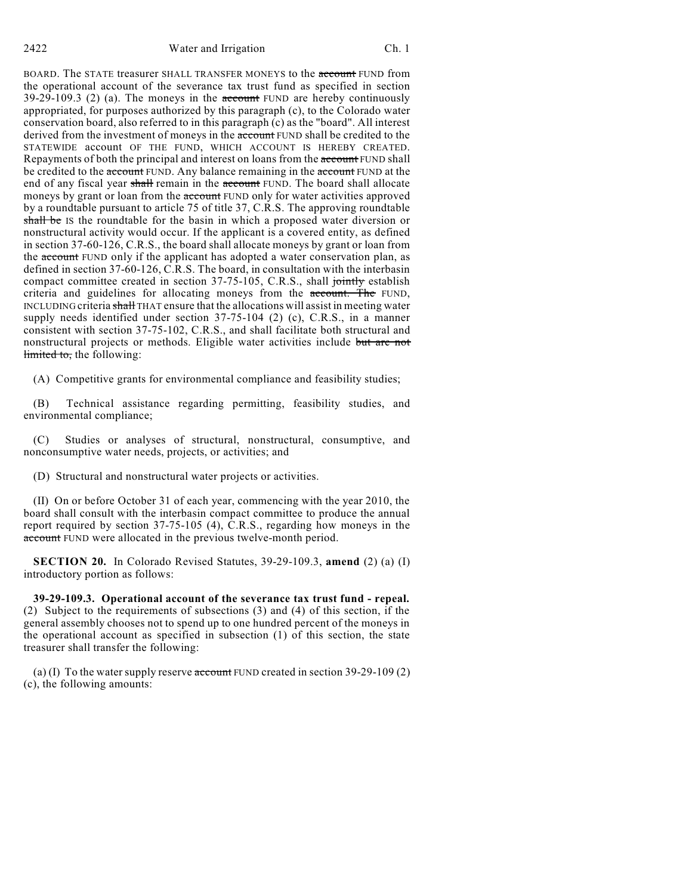2422 Water and Irrigation Ch. 1

BOARD. The STATE treasurer SHALL TRANSFER MONEYS to the account FUND from the operational account of the severance tax trust fund as specified in section  $39-29-109.3$  (2) (a). The moneys in the  $\alpha$  account FUND are hereby continuously appropriated, for purposes authorized by this paragraph (c), to the Colorado water conservation board, also referred to in this paragraph (c) as the "board". All interest derived from the investment of moneys in the account FUND shall be credited to the STATEWIDE account OF THE FUND, WHICH ACCOUNT IS HEREBY CREATED. Repayments of both the principal and interest on loans from the account FUND shall be credited to the account FUND. Any balance remaining in the account FUND at the end of any fiscal year shall remain in the account FUND. The board shall allocate moneys by grant or loan from the account FUND only for water activities approved by a roundtable pursuant to article 75 of title 37, C.R.S. The approving roundtable shall be IS the roundtable for the basin in which a proposed water diversion or nonstructural activity would occur. If the applicant is a covered entity, as defined in section 37-60-126, C.R.S., the board shall allocate moneys by grant or loan from the account FUND only if the applicant has adopted a water conservation plan, as defined in section 37-60-126, C.R.S. The board, in consultation with the interbasin compact committee created in section 37-75-105, C.R.S., shall jointly establish criteria and guidelines for allocating moneys from the account. The FUND, INCLUDING criteria shall THAT ensure that the allocations will assist in meeting water supply needs identified under section 37-75-104 (2) (c), C.R.S., in a manner consistent with section 37-75-102, C.R.S., and shall facilitate both structural and nonstructural projects or methods. Eligible water activities include but are not limited to, the following:

(A) Competitive grants for environmental compliance and feasibility studies;

(B) Technical assistance regarding permitting, feasibility studies, and environmental compliance;

(C) Studies or analyses of structural, nonstructural, consumptive, and nonconsumptive water needs, projects, or activities; and

(D) Structural and nonstructural water projects or activities.

(II) On or before October 31 of each year, commencing with the year 2010, the board shall consult with the interbasin compact committee to produce the annual report required by section 37-75-105 (4), C.R.S., regarding how moneys in the account FUND were allocated in the previous twelve-month period.

**SECTION 20.** In Colorado Revised Statutes, 39-29-109.3, **amend** (2) (a) (I) introductory portion as follows:

**39-29-109.3. Operational account of the severance tax trust fund - repeal.** (2) Subject to the requirements of subsections (3) and (4) of this section, if the general assembly chooses not to spend up to one hundred percent of the moneys in the operational account as specified in subsection (1) of this section, the state treasurer shall transfer the following:

(a) (I) To the water supply reserve  $\frac{1}{x}$  FUND created in section 39-29-109 (2) (c), the following amounts: